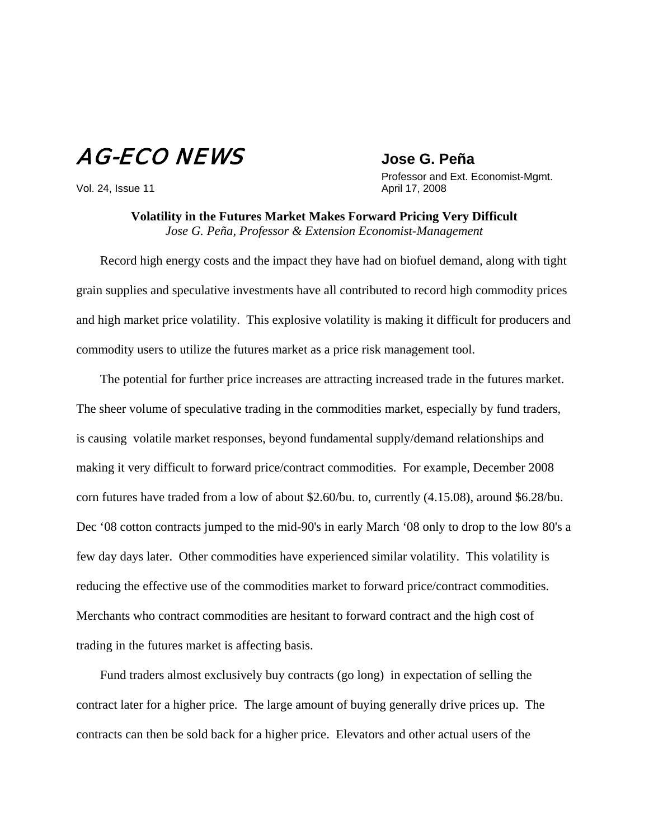## AG-ECO NEWS **Jose G. Peña**

 Professor and Ext. Economist-Mgmt. Vol. 24, Issue 11 **April 17, 2008** 

> **Volatility in the Futures Market Makes Forward Pricing Very Difficult** *Jose G. Peña, Professor & Extension Economist-Management*

Record high energy costs and the impact they have had on biofuel demand, along with tight grain supplies and speculative investments have all contributed to record high commodity prices and high market price volatility. This explosive volatility is making it difficult for producers and commodity users to utilize the futures market as a price risk management tool.

The potential for further price increases are attracting increased trade in the futures market. The sheer volume of speculative trading in the commodities market, especially by fund traders, is causing volatile market responses, beyond fundamental supply/demand relationships and making it very difficult to forward price/contract commodities. For example, December 2008 corn futures have traded from a low of about \$2.60/bu. to, currently (4.15.08), around \$6.28/bu. Dec '08 cotton contracts jumped to the mid-90's in early March '08 only to drop to the low 80's a few day days later. Other commodities have experienced similar volatility. This volatility is reducing the effective use of the commodities market to forward price/contract commodities. Merchants who contract commodities are hesitant to forward contract and the high cost of trading in the futures market is affecting basis.

Fund traders almost exclusively buy contracts (go long) in expectation of selling the contract later for a higher price. The large amount of buying generally drive prices up. The contracts can then be sold back for a higher price. Elevators and other actual users of the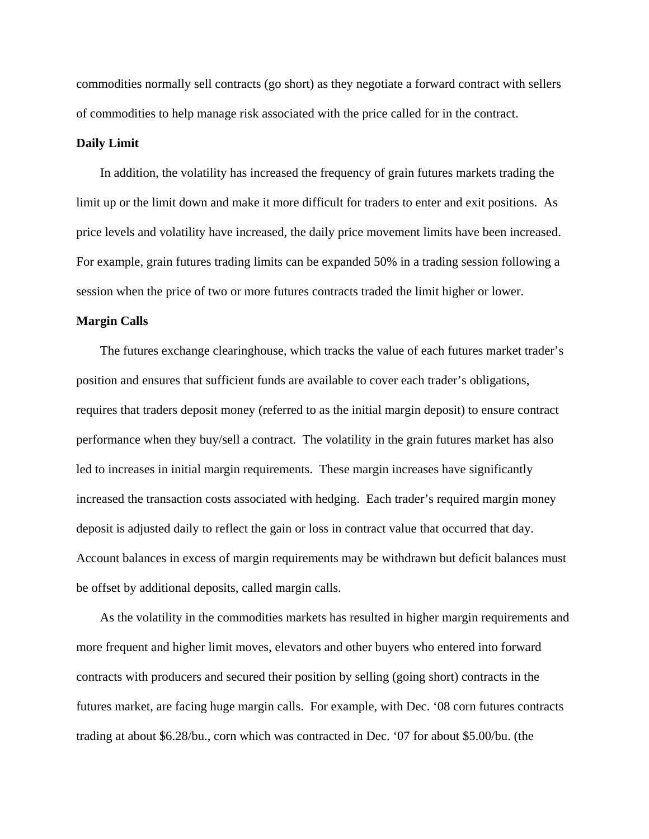commodities normally sell contracts (go short) as they negotiate a forward contract with sellers of commodities to help manage risk associated with the price called for in the contract.

## **Daily Limit**

In addition, the volatility has increased the frequency of grain futures markets trading the limit up or the limit down and make it more difficult for traders to enter and exit positions. As price levels and volatility have increased, the daily price movement limits have been increased. For example, grain futures trading limits can be expanded 50% in a trading session following a session when the price of two or more futures contracts traded the limit higher or lower.

## **Margin Calls**

The futures exchange clearinghouse, which tracks the value of each futures market trader's position and ensures that sufficient funds are available to cover each trader's obligations, requires that traders deposit money (referred to as the initial margin deposit) to ensure contract performance when they buy/sell a contract. The volatility in the grain futures market has also led to increases in initial margin requirements. These margin increases have significantly increased the transaction costs associated with hedging. Each trader's required margin money deposit is adjusted daily to reflect the gain or loss in contract value that occurred that day. Account balances in excess of margin requirements may be withdrawn but deficit balances must be offset by additional deposits, called margin calls.

As the volatility in the commodities markets has resulted in higher margin requirements and more frequent and higher limit moves, elevators and other buyers who entered into forward contracts with producers and secured their position by selling (going short) contracts in the futures market, are facing huge margin calls. For example, with Dec. '08 corn futures contracts trading at about \$6.28/bu., corn which was contracted in Dec. '07 for about \$5.00/bu. (the